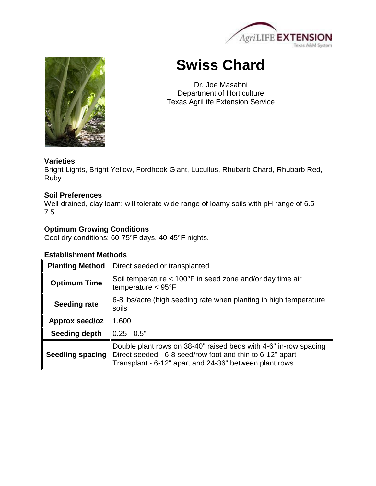

# **Swiss Chard**

Dr. Joe Masabni Department of Horticulture Texas AgriLife Extension Service

# **Varieties**

Bright Lights, Bright Yellow, Fordhook Giant, Lucullus, Rhubarb Chard, Rhubarb Red, Ruby

## **Soil Preferences**

Well-drained, clay loam; will tolerate wide range of loamy soils with pH range of 6.5 -7.5.

# **Optimum Growing Conditions**

Cool dry conditions; 60-75°F days, 40-45°F nights.

# **Establishment Methods**

| <b>Planting Method</b>  | Direct seeded or transplanted                                                                                                                                                           |  |
|-------------------------|-----------------------------------------------------------------------------------------------------------------------------------------------------------------------------------------|--|
| <b>Optimum Time</b>     | Soil temperature < 100°F in seed zone and/or day time air<br>temperature $<$ 95 $\degree$ F                                                                                             |  |
| Seeding rate            | 6-8 lbs/acre (high seeding rate when planting in high temperature<br>soils                                                                                                              |  |
| Approx seed/oz          | 1,600                                                                                                                                                                                   |  |
| Seeding depth           | $0.25 - 0.5"$                                                                                                                                                                           |  |
| <b>Seedling spacing</b> | Double plant rows on 38-40" raised beds with 4-6" in-row spacing<br>Direct seeded - 6-8 seed/row foot and thin to 6-12" apart<br>Transplant - 6-12" apart and 24-36" between plant rows |  |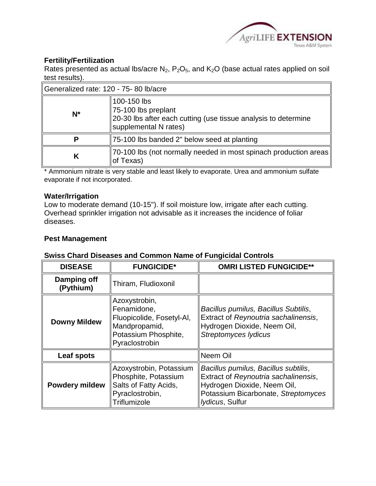

# **Fertility/Fertilization**

Rates presented as actual lbs/acre  $N_2$ ,  $P_2O_5$ , and  $K_2O$  (base actual rates applied on soil test results).

| Generalized rate: 120 - 75-80 lb/acre |                                                                                                                               |  |
|---------------------------------------|-------------------------------------------------------------------------------------------------------------------------------|--|
| $N^*$                                 | 100-150 lbs<br>75-100 lbs preplant<br>20-30 lbs after each cutting (use tissue analysis to determine<br>supplemental N rates) |  |
| Р                                     | 75-100 lbs banded 2" below seed at planting                                                                                   |  |
| К                                     | 70-100 lbs (not normally needed in most spinach production areas)<br>of Texas)                                                |  |

\* Ammonium nitrate is very stable and least likely to evaporate. Urea and ammonium sulfate evaporate if not incorporated.

#### **Water/Irrigation**

Low to moderate demand (10-15"). If soil moisture low, irrigate after each cutting. Overhead sprinkler irrigation not advisable as it increases the incidence of foliar diseases.

#### **Pest Management**

### **Swiss Chard Diseases and Common Name of Fungicidal Controls**

| <b>DISEASE</b>           | <b>FUNGICIDE*</b>                                                                                                    | <b>OMRI LISTED FUNGICIDE**</b>                                                                                                                                                |
|--------------------------|----------------------------------------------------------------------------------------------------------------------|-------------------------------------------------------------------------------------------------------------------------------------------------------------------------------|
| Damping off<br>(Pythium) | Thiram, Fludioxonil                                                                                                  |                                                                                                                                                                               |
| <b>Downy Mildew</b>      | Azoxystrobin,<br>Fenamidone,<br>Fluopicolide, Fosetyl-Al,<br>Mandpropamid,<br>Potassium Phosphite,<br>Pyraclostrobin | Bacillus pumilus, Bacillus Subtilis,<br>Extract of Reynoutria sachalinensis,<br>Hydrogen Dioxide, Neem Oil,<br><b>Streptomyces lydicus</b>                                    |
| Leaf spots               |                                                                                                                      | Neem Oil                                                                                                                                                                      |
| <b>Powdery mildew</b>    | Azoxystrobin, Potassium<br>Phosphite, Potassium<br>Salts of Fatty Acids,<br>Pyraclostrobin,<br>Triflumizole          | Bacillus pumilus, Bacillus subtilis,<br>Extract of Reynoutria sachalinensis,<br>Hydrogen Dioxide, Neem Oil,<br>Potassium Bicarbonate, Streptomyces<br><i>lydicus</i> , Sulfur |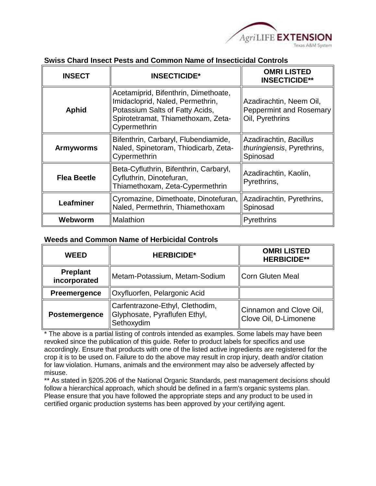

| <b>INSECT</b>      | <b>INSECTICIDE*</b>                                                                                                                                               | <b>OMRI LISTED</b><br><b>INSECTICIDE**</b>                                   |
|--------------------|-------------------------------------------------------------------------------------------------------------------------------------------------------------------|------------------------------------------------------------------------------|
| <b>Aphid</b>       | Acetamiprid, Bifenthrin, Dimethoate,<br>Imidacloprid, Naled, Permethrin,<br>Potassium Salts of Fatty Acids,<br>Spirotetramat, Thiamethoxam, Zeta-<br>Cypermethrin | Azadirachtin, Neem Oil,<br><b>Peppermint and Rosemary</b><br>Oil, Pyrethrins |
| <b>Armyworms</b>   | Bifenthrin, Carbaryl, Flubendiamide,<br>Naled, Spinetoram, Thiodicarb, Zeta-<br>Cypermethrin                                                                      | Azadirachtin, Bacillus<br><i>thuringiensis</i> , Pyrethrins,<br>Spinosad     |
| <b>Flea Beetle</b> | Beta-Cyfluthrin, Bifenthrin, Carbaryl,<br>Cyfluthrin, Dinotefuran,<br>Thiamethoxam, Zeta-Cypermethrin                                                             | Azadirachtin, Kaolin,<br>Pyrethrins,                                         |
| Leafminer          | Cyromazine, Dimethoate, Dinotefuran,<br>Naled, Permethrin, Thiamethoxam                                                                                           | Azadirachtin, Pyrethrins,<br>Spinosad                                        |
| Webworm            | Malathion                                                                                                                                                         | Pyrethrins                                                                   |

#### **Weeds and Common Name of Herbicidal Controls**

| <b>WEED</b>                     | <b>HERBICIDE*</b>                                                              | <b>OMRI LISTED</b><br><b>HERBICIDE**</b>         |
|---------------------------------|--------------------------------------------------------------------------------|--------------------------------------------------|
| <b>Preplant</b><br>incorporated | Metam-Potassium, Metam-Sodium                                                  | Corn Gluten Meal                                 |
| Preemergence                    | Oxyfluorfen, Pelargonic Acid                                                   |                                                  |
| Postemergence                   | Carfentrazone-Ethyl, Clethodim,<br>Glyphosate, Pyraflufen Ethyl,<br>Sethoxydim | Cinnamon and Clove Oil,<br>Clove Oil, D-Limonene |

\* The above is a partial listing of controls intended as examples. Some labels may have been revoked since the publication of this guide. Refer to product labels for specifics and use accordingly. Ensure that products with one of the listed active ingredients are registered for the crop it is to be used on. Failure to do the above may result in crop injury, death and/or citation for law violation. Humans, animals and the environment may also be adversely affected by misuse.

\*\* As stated in §205.206 of the National Organic Standards, pest management decisions should follow a hierarchical approach, which should be defined in a farm's organic systems plan. Please ensure that you have followed the appropriate steps and any product to be used in certified organic production systems has been approved by your certifying agent.